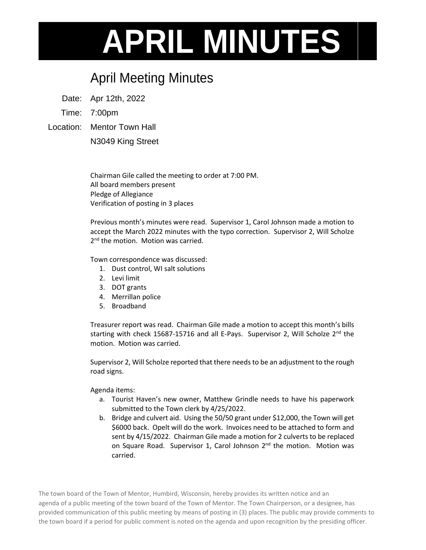## **APRIL MINUTES**

## April Meeting Minutes

Date: Apr 12th, 2022

Time: 7:00pm

Location: Mentor Town Hall

N3049 King Street

Chairman Gile called the meeting to order at 7:00 PM. All board members present Pledge of Allegiance Verification of posting in 3 places

Previous month's minutes were read. Supervisor 1, Carol Johnson made a motion to accept the March 2022 minutes with the typo correction. Supervisor 2, Will Scholze 2<sup>nd</sup> the motion. Motion was carried.

Town correspondence was discussed:

- 1. Dust control, WI salt solutions
- 2. Levi limit
- 3. DOT grants
- 4. Merrillan police
- 5. Broadband

Treasurer report was read. Chairman Gile made a motion to accept this month's bills starting with check 15687-15716 and all E-Pays. Supervisor 2, Will Scholze  $2^{nd}$  the motion. Motion was carried.

Supervisor 2, Will Scholze reported that there needs to be an adjustment to the rough road signs.

Agenda items:

- a. Tourist Haven's new owner, Matthew Grindle needs to have his paperwork submitted to the Town clerk by 4/25/2022.
- b. Bridge and culvert aid. Using the 50/50 grant under \$12,000, the Town will get \$6000 back. Opelt will do the work. Invoices need to be attached to form and sent by 4/15/2022. Chairman Gile made a motion for 2 culverts to be replaced on Square Road. Supervisor 1, Carol Johnson 2<sup>nd</sup> the motion. Motion was carried.

The town board of the Town of Mentor, Humbird, Wisconsin, hereby provides its written notice and an agenda of a public meeting of the town board of the Town of Mentor. The Town Chairperson, or a designee, has provided communication of this public meeting by means of posting in (3) places. The public may provide comments to the town board if a period for public comment is noted on the agenda and upon recognition by the presiding officer.